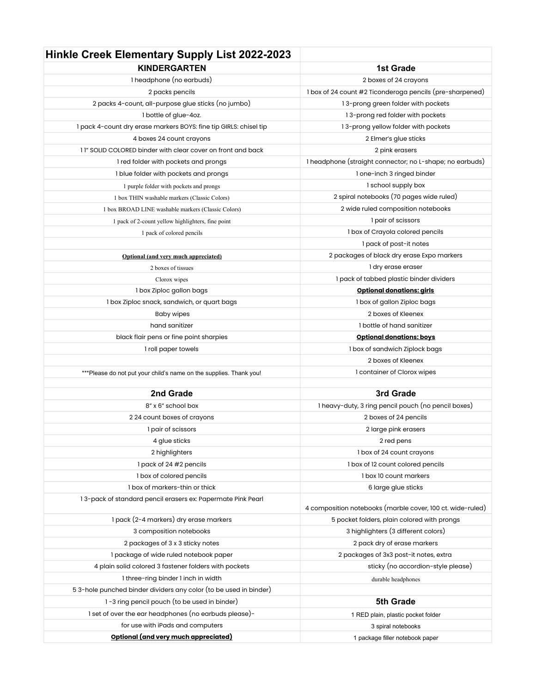## **Hinkle Creek Elementary Supply List 2022-2023**

| <b>KINDERGARTEN</b>                                                                                     | <b>1st Grade</b>                                                                                          |
|---------------------------------------------------------------------------------------------------------|-----------------------------------------------------------------------------------------------------------|
| 1 headphone (no earbuds)                                                                                | 2 boxes of 24 crayons                                                                                     |
| 2 packs pencils                                                                                         | 1 box of 24 count #2 Ticonderoga pencils (pre-sharpened)                                                  |
| 2 packs 4-count, all-purpose glue sticks (no jumbo)                                                     | 13-prong green folder with pockets                                                                        |
| 1 bottle of glue-4oz.                                                                                   | 13-prong red folder with pockets                                                                          |
| 1 pack 4-count dry erase markers BOYS: fine tip GIRLS: chisel tip                                       | 13-prong yellow folder with pockets                                                                       |
| 4 boxes 24 count crayons                                                                                | 2 Elmer's glue sticks                                                                                     |
| 11" SOLID COLORED binder with clear cover on front and back                                             | 2 pink erasers                                                                                            |
| 1 red folder with pockets and prongs                                                                    | 1 headphone (straight connector; no L-shape; no earbuds)                                                  |
| 1 blue folder with pockets and prongs                                                                   | 1 one-inch 3 ringed binder                                                                                |
| 1 purple folder with pockets and prongs                                                                 | I school supply box                                                                                       |
| 1 box THIN washable markers (Classic Colors)                                                            | 2 spiral notebooks (70 pages wide ruled)                                                                  |
| 1 box BROAD LINE washable markers (Classic Colors)                                                      | 2 wide ruled composition notebooks                                                                        |
| 1 pack of 2-count yellow highlighters, fine point                                                       | 1 pair of scissors                                                                                        |
| 1 pack of colored pencils                                                                               | 1 box of Crayola colored pencils                                                                          |
|                                                                                                         | 1 pack of post-it notes                                                                                   |
| Optional (and very much appreciated)                                                                    | 2 packages of black dry erase Expo markers                                                                |
| 2 boxes of tissues                                                                                      | 1 dry erase eraser                                                                                        |
| Clorox wipes                                                                                            | I pack of tabbed plastic binder dividers                                                                  |
| 1 box Ziploc gallon bags                                                                                | <b>Optional donations: girls</b>                                                                          |
| 1 box Ziploc snack, sandwich, or quart bags                                                             | 1 box of gallon Ziploc bags                                                                               |
| <b>Baby wipes</b>                                                                                       | 2 boxes of Kleenex                                                                                        |
| hand sanitizer                                                                                          | 1 bottle of hand sanitizer                                                                                |
| black flair pens or fine point sharpies                                                                 | <b>Optional donations: boys</b>                                                                           |
| I roll paper towels                                                                                     | 1 box of sandwich Ziplock bags                                                                            |
|                                                                                                         | 2 boxes of Kleenex                                                                                        |
| ***Please do not put your child's name on the supplies. Thank you!                                      | 1 container of Clorox wipes                                                                               |
|                                                                                                         |                                                                                                           |
| 2nd Grade                                                                                               | 3rd Grade                                                                                                 |
| 8" x 6" school box                                                                                      | 1 heavy-duty, 3 ring pencil pouch (no pencil boxes)                                                       |
| 224 count boxes of crayons                                                                              | 2 boxes of 24 pencils                                                                                     |
| 1 pair of scissors                                                                                      | 2 large pink erasers                                                                                      |
| 4 glue sticks                                                                                           | 2 red pens                                                                                                |
| 2 highlighters                                                                                          | 1 box of 24 count crayons                                                                                 |
| 1 pack of 24 #2 pencils                                                                                 | 1 box of 12 count colored pencils                                                                         |
| I box of colored pencils                                                                                | 1 box 10 count markers                                                                                    |
| 1 box of markers-thin or thick                                                                          | 6 large glue sticks                                                                                       |
| 13-pack of standard pencil erasers ex: Papermate Pink Pearl                                             |                                                                                                           |
| 1 pack (2-4 markers) dry erase markers                                                                  | 4 composition notebooks (marble cover, 100 ct. wide-ruled)<br>5 pocket folders, plain colored with prongs |
|                                                                                                         |                                                                                                           |
| 3 composition notebooks                                                                                 | 3 highlighters (3 different colors)<br>2 pack dry of erase markers                                        |
| 2 packages of 3 x 3 sticky notes<br>1 package of wide ruled notebook paper                              | 2 packages of 3x3 post-it notes, extra                                                                    |
| 4 plain solid colored 3 fastener folders with pockets                                                   | sticky (no accordion-style please)                                                                        |
|                                                                                                         |                                                                                                           |
| 1 three-ring binder 1 inch in width<br>53-hole punched binder dividers any color (to be used in binder) | durable headphones                                                                                        |
| 1-3 ring pencil pouch (to be used in binder)                                                            | 5th Grade                                                                                                 |
|                                                                                                         |                                                                                                           |
| 1 set of over the ear headphones (no earbuds please)-                                                   | 1 RED plain, plastic pocket folder                                                                        |
| for use with iPads and computers<br>Optional (and very much appreciated)                                | 3 spiral notebooks                                                                                        |
|                                                                                                         | 1 package filler notebook paper                                                                           |